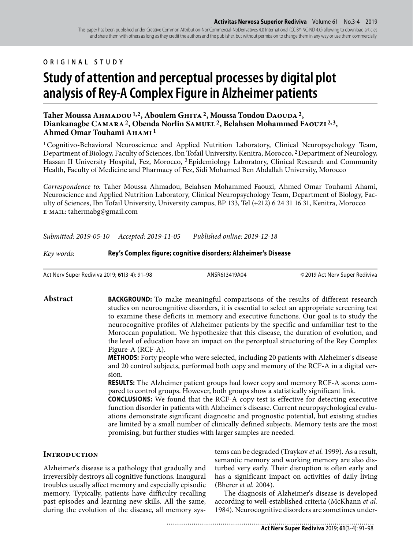This paper has been published under Creative Common Attribution-NonCommercial-NoDerivatives 4.0 International (CC BY-NC-ND 4.0) allowing to download articles and share them with others as long as they credit the authors and the publisher, but without permission to change them in any way or use them commercially.

**ORIGINAL STUDY**

# **Study of attention and perceptual processes by digital plot analysis of Rey-A Complex Figure in Alzheimer patients**

# Taher Moussa AHMADOU<sup>1,2</sup>, Aboulem GHITA<sup>2</sup>, Moussa Toudou DAOUDA<sup>2</sup>, **Diankanagbe Camara 2, Obenda Norlin Samuel 2, Belahsen Mohammed Faouzi 2,3, Ahmed Omar Touhami Ahami 1**

<sup>1</sup> Cognitivo-Behavioral Neuroscience and Applied Nutrition Laboratory, Clinical Neuropsychology Team, Department of Biology, Faculty of Sciences, Ibn Tofail University, Kenitra, Morocco, 2 Department of Neurology, Hassan II University Hospital, Fez, Morocco, 3 Epidemiology Laboratory, Clinical Research and Community Health, Faculty of Medicine and Pharmacy of Fez, Sidi Mohamed Ben Abdallah University, Morocco

*Correspondence to:* Taher Moussa Ahmadou, Belahsen Mohammed Faouzi, Ahmed Omar Touhami Ahami, Neuroscience and Applied Nutrition Laboratory, Clinical Neuropsychology Team, Department of Biology, Faculty of Sciences, Ibn Tofail University, University campus, BP 133, Tel (+212) 6 24 31 16 31, Kenitra, Morocco e-mail: tahermabg@gmail.com

*Submitted: 2019-05-10 Accepted: 2019-11-05 Published online: 2019-12-18*

*Key words:* **Rey's Complex figure; cognitive disorders; Alzheimer's Disease**

Act Nerv Super Rediviva 2019; **61**(3-4): 91–98 ANSR613419A04 © 2019 Act Nerv Super Rediviva

Abstract BACKGROUND: To make meaningful comparisons of the results of different research studies on neurocognitive disorders, it is essential to select an appropriate screening test to examine these deficits in memory and executive functions. Our goal is to study the neurocognitive profiles of Alzheimer patients by the specific and unfamiliar test to the Moroccan population. We hypothesize that this disease, the duration of evolution, and the level of education have an impact on the perceptual structuring of the Rey Complex Figure-A (RCF-A).

......................................

**METHODS:** Forty people who were selected, including 20 patients with Alzheimer's disease and 20 control subjects, performed both copy and memory of the RCF-A in a digital version.

**RESULTS:** The Alzheimer patient groups had lower copy and memory RCF-A scores compared to control groups. However, both groups show a statistically significant link.

**CONCLUSIONS:** We found that the RCF-A copy test is effective for detecting executive function disorder in patients with Alzheimer's disease. Current neuropsychological evaluations demonstrate significant diagnostic and prognostic potential, but existing studies are limited by a small number of clinically defined subjects. Memory tests are the most promising, but further studies with larger samples are needed.

# **Introduction**

Alzheimer's disease is a pathology that gradually and irreversibly destroys all cognitive functions. Inaugural troubles usually affect memory and especially episodic memory. Typically, patients have difficulty recalling past episodes and learning new skills. All the same, during the evolution of the disease, all memory systems can be degraded (Traykov *et al.* 1999). As a result, semantic memory and working memory are also disturbed very early. Their disruption is often early and has a significant impact on activities of daily living (Bherer *et al.* 2004).

The diagnosis of Alzheimer's disease is developed according to well-established criteria (McKhann *et al.* 1984). Neurocognitive disorders are sometimes under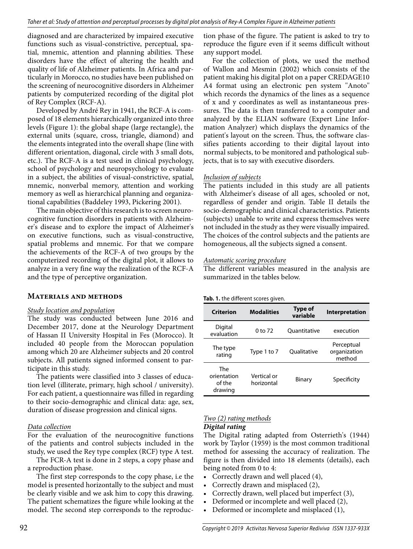diagnosed and are characterized by impaired executive functions such as visual-constrictive, perceptual, spatial, mnemic, attention and planning abilities. These disorders have the effect of altering the health and quality of life of Alzheimer patients. In Africa and particularly in Morocco, no studies have been published on the screening of neurocognitive disorders in Alzheimer patients by computerized recording of the digital plot of Rey Complex (RCF-A).

Developed by André Rey in 1941, the RCF-A is composed of 18 elements hierarchically organized into three levels (Figure 1): the global shape (large rectangle), the external units (square, cross, triangle, diamond) and the elements integrated into the overall shape (line with different orientation, diagonal, circle with 3 small dots, etc.). The RCF-A is a test used in clinical psychology, school of psychology and neuropsychology to evaluate in a subject, the abilities of visual-constrictive, spatial, mnemic, nonverbal memory, attention and working memory as well as hierarchical planning and organizational capabilities (Baddeley 1993, Pickering 2001).

The main objective of this research is to screen neurocognitive function disorders in patients with Alzheimer's disease and to explore the impact of Alzheimer's on executive functions, such as visual-constructive, spatial problems and mnemic. For that we compare the achievements of the RCF-A of two groups by the computerized recording of the digital plot, it allows to analyze in a very fine way the realization of the RCF-A and the type of perceptive organization.

# **Materials and methods**

# *Study location and population*

The study was conducted between June 2016 and December 2017, done at the Neurology Department of Hassan II University Hospital in Fes (Morocco). It included 40 people from the Moroccan population among which 20 are Alzheimer subjects and 20 control subjects. All patients signed informed consent to participate in this study.

The patients were classified into 3 classes of education level (illiterate, primary, high school / university). For each patient, a questionnaire was filled in regarding to their socio-demographic and clinical data: age, sex, duration of disease progression and clinical signs.

# *Data collection*

For the evaluation of the neurocognitive functions of the patients and control subjects included in the study, we used the Rey type complex (RCF) type A test.

The FCR-A test is done in 2 steps, a copy phase and a reproduction phase.

The first step corresponds to the copy phase, i.e the model is presented horizontally to the subject and must be clearly visible and we ask him to copy this drawing. The patient schematizes the figure while looking at the model. The second step corresponds to the reproduction phase of the figure. The patient is asked to try to reproduce the figure even if it seems difficult without any support model.

For the collection of plots, we used the method of Wallon and Mesmin (2002) which consists of the patient making his digital plot on a paper CREDAGE10 A4 format using an electronic pen system ''Anoto'' which records the dynamics of the lines as a sequence of x and y coordinates as well as instantaneous pressures. The data is then transferred to a computer and analyzed by the ELIAN software (Expert Line Information Analyzer) which displays the dynamics of the patient's layout on the screen. Thus, the software classifies patients according to their digital layout into normal subjects, to be monitored and pathological subjects, that is to say with executive disorders.

# *Inclusion of subjects*

The patients included in this study are all patients with Alzheimer's disease of all ages, schooled or not, regardless of gender and origin. Table II details the socio-demographic and clinical characteristics. Patients (subjects) unable to write and express themselves were not included in the study as they were visually impaired. The choices of the control subjects and the patients are homogeneous, all the subjects signed a consent.

# *Automatic scoring procedure*

The different variables measured in the analysis are summarized in the tables below.

#### **Tab. 1.** the different scores given.

| Criterion                               | <b>Modalities</b>         | <b>Type of</b><br>variable | Interpretation                       |
|-----------------------------------------|---------------------------|----------------------------|--------------------------------------|
| Digital<br>evaluation                   | 0 to 72                   | Ouantitative               | execution                            |
| The type<br>rating                      | Type 1 to 7               | Qualitative                | Perceptual<br>organization<br>method |
| The<br>orientation<br>of the<br>drawing | Vertical or<br>horizontal | Binary                     | Specificity                          |

## *Two (2) rating methods Digital rating*

The Digital rating adapted from Osterrieth's (1944) work by Taylor (1959) is the most common traditional method for assessing the accuracy of realization. The figure is then divided into 18 elements (details), each being noted from 0 to 4:

- Correctly drawn and well placed (4),
- Correctly drawn and misplaced (2),
- Correctly drawn, well placed but imperfect (3),
- Deformed or incomplete and well placed (2),
- Deformed or incomplete and misplaced (1),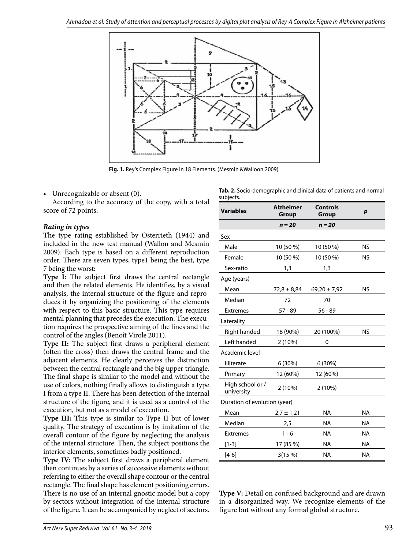

**Fig. 1.** Rey's Complex Figure in 18 Elements. (Mesmin &Walloon 2009)

Unrecognizable or absent (0).

According to the accuracy of the copy, with a total score of 72 points.

## *Rating in types*

The type rating established by Osterrieth (1944) and included in the new test manual (Wallon and Mesmin 2009). Each type is based on a different reproduction order. There are seven types, type1 being the best, type 7 being the worst:

**Type I:** The subject first draws the central rectangle and then the related elements. He identifies, by a visual analysis, the internal structure of the figure and reproduces it by organizing the positioning of the elements with respect to this basic structure. This type requires mental planning that precedes the execution. The execution requires the prospective aiming of the lines and the control of the angles (Benoît Virole 2011).

**Type II:** The subject first draws a peripheral element (often the cross) then draws the central frame and the adjacent elements. He clearly perceives the distinction between the central rectangle and the big upper triangle. The final shape is similar to the model and without the use of colors, nothing finally allows to distinguish a type I from a type II. There has been detection of the internal structure of the figure, and it is used as a control of the execution, but not as a model of execution.

**Type III:** This type is similar to Type II but of lower quality. The strategy of execution is by imitation of the overall contour of the figure by neglecting the analysis of the internal structure. Then, the subject positions the interior elements, sometimes badly positioned.

**Type IV:** The subject first draws a peripheral element then continues by a series of successive elements without referring to either the overall shape contour or the central rectangle. The final shape has element positioning errors. There is no use of an internal gnostic model but a copy by sectors without integration of the internal structure of the figure. It can be accompanied by neglect of sectors.

|           |  |  | Tab. 2. Socio-demographic and clinical data of patients and normal |
|-----------|--|--|--------------------------------------------------------------------|
| subjects. |  |  |                                                                    |

| <b>Variables</b>               | <b>Alzheimer</b><br>Group | <b>Controls</b><br>Group | $\boldsymbol{p}$ |
|--------------------------------|---------------------------|--------------------------|------------------|
|                                | $n = 20$                  | $n = 20$                 |                  |
| Sex                            |                           |                          |                  |
| Male                           | 10 (50 %)                 | 10 (50 %)                | <b>NS</b>        |
| Female                         | 10 (50 %)                 | 10 (50 %)                | <b>NS</b>        |
| Sex-ratio                      | 1,3                       | 1,3                      |                  |
| Age (years)                    |                           |                          |                  |
| Mean                           | $72,8 \pm 8,84$           | $69,20 \pm 7,92$         | <b>NS</b>        |
| Median                         | 72                        | 70                       |                  |
| <b>Extremes</b>                | $57 - 89$                 | $56 - 89$                |                  |
| Laterality                     |                           |                          |                  |
| Right handed                   | 18 (90%)                  | 20 (100%)                | <b>NS</b>        |
| Left handed                    | 2(10%)                    | 0                        |                  |
| Academic level                 |                           |                          |                  |
| illiterate                     | 6(30%)                    | 6(30%)                   |                  |
| Primary                        | 12 (60%)                  | 12 (60%)                 |                  |
| High school or /<br>university | 2 (10%)                   | 2 (10%)                  |                  |
| Duration of evolution (year)   |                           |                          |                  |
| Mean                           | $2,7 \pm 1,21$            | <b>NA</b>                | <b>NA</b>        |
| Median                         | 2,5                       | <b>NA</b>                | <b>NA</b>        |
| <b>Extremes</b>                | $1 - 6$                   | <b>NA</b>                | <b>NA</b>        |
| $[1-3]$                        | 17 (85 %)                 | <b>NA</b>                | <b>NA</b>        |
| $[4-6]$                        | 3(15%)                    | <b>NA</b>                | <b>NA</b>        |

**Type V:** Detail on confused background and are drawn in a disorganized way. We recognize elements of the figure but without any formal global structure.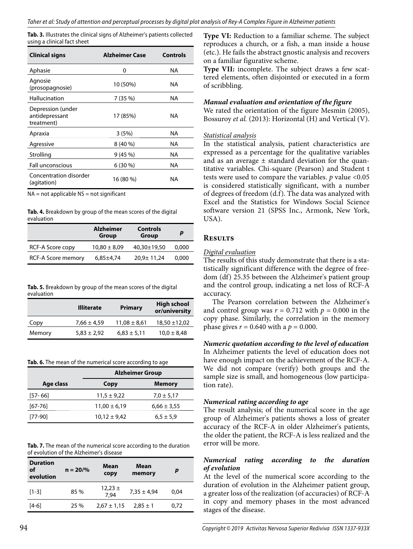**Tab. 3.** Illustrates the clinical signs of Alzheimer's patients collected using a clinical fact sheet

| <b>Clinical signs</b>                             | <b>Alzheimer Case</b> | <b>Controls</b> |
|---------------------------------------------------|-----------------------|-----------------|
| Aphasie                                           | 0                     | ΝA              |
| Agnosie<br>(prosopagnosie)                        | 10 (50%)              | ΝA              |
| Hallucination                                     | 7 (35 %)              | ΝA              |
| Depression (under<br>antidepressant<br>treatment) | 17 (85%)              | NA              |
| Apraxia                                           | 3(5%)                 | ΝA              |
| Agressive                                         | $8(40\%)$             | ΝA              |
| Strolling                                         | 9(45%)                | ΝA              |
| <b>Fall unconscious</b>                           | $6(30\%)$             | ΝA              |
| Concentration disorder<br>(agitation)             | 16 (80 %)             | ΝA              |

 $NA = not applicable  $NS = not significant$$ 

**Tab. 4.** Breakdown by group of the mean scores of the digital evaluation

|                    | <b>Alzheimer</b><br>Group | <b>Controls</b><br>Group |       |
|--------------------|---------------------------|--------------------------|-------|
| RCF-A Score copy   | $10,80 \pm 8,09$          | 40,30±19,50              | 0.000 |
| RCF-A Score memory | $6,85\pm4,74$             | 20,9± 11,24              | 0.000 |

| Tab. 5. Breakdown by group of the mean scores of the digital |  |
|--------------------------------------------------------------|--|
| evaluation                                                   |  |

|        | <b>Illiterate</b> | <b>Primary</b>   | <b>High school</b><br>or/university |
|--------|-------------------|------------------|-------------------------------------|
| Copy   | $7,66 \pm 4,59$   | $11,08 \pm 8,61$ | $18,50 \pm 12,02$                   |
| Memory | $5,83 \pm 2,92$   | $6,83 \pm 5,11$  | $10.0 \pm 8.48$                     |

**Tab. 6.** The mean of the numerical score according to age

|             | <b>Alzheimer Group</b> |                 |  |
|-------------|------------------------|-----------------|--|
| Age class   | Copy                   | <b>Memory</b>   |  |
| $[57 - 66]$ | $11,5 \pm 9,22$        | $7.0 \pm 5.17$  |  |
| $[67-76]$   | $11,00 \pm 6,19$       | $6,66 \pm 3,55$ |  |
| [77-90]     | $10,12 \pm 9,42$       | $6.5 \pm 5.9$   |  |
|             |                        |                 |  |

**Tab. 7.** The mean of the numerical score according to the duration of evolution of the Alzheimer's disease

| <b>Duration</b><br>of<br>evolution | $n = 20%$ | Mean<br>copy        | Mean<br>memory  | p    |
|------------------------------------|-----------|---------------------|-----------------|------|
| $[1-3]$                            | 85%       | $12,23 \pm$<br>7.94 | $7,35 \pm 4,94$ | 0.04 |
| $[4-6]$                            | 25 %      | $2,67 \pm 1,15$     | $2.85 \pm 1$    | 0.72 |

**Type VI:** Reduction to a familiar scheme. The subject reproduces a church, or a fish, a man inside a house (etc.). He fails the abstract gnostic analysis and recovers on a familiar figurative scheme.

**Type VII:** incomplete. The subject draws a few scattered elements, often disjointed or executed in a form of scribbling.

## *Manual evaluation and orientation of the figure*

We rated the orientation of the figure Mesmin (2005), Bossuroy *et al.* (2013): Horizontal (H) and Vertical (V).

#### *Statistical analysis*

In the statistical analysis, patient characteristics are expressed as a percentage for the qualitative variables and as an average  $\pm$  standard deviation for the quantitative variables. Chi-square (Pearson) and Student t tests were used to compare the variables. *p* value <0.05 is considered statistically significant, with a number of degrees of freedom (d.f). The data was analyzed with Excel and the Statistics for Windows Social Science software version 21 (SPSS Inc., Armonk, New York, USA).

# **Results**

## *Digital evaluation*

The results of this study demonstrate that there is a statistically significant difference with the degree of freedom (df) 25.35 between the Alzheimer's patient group and the control group, indicating a net loss of RCF-A accuracy.

The Pearson correlation between the Alzheimer's and control group was  $r = 0.712$  with  $p = 0.000$  in the copy phase. Similarly, the correlation in the memory phase gives  $r = 0.640$  with a  $p = 0.000$ .

*Numeric quotation according to the level of education* In Alzheimer patients the level of education does not have enough impact on the achievement of the RCF-A. We did not compare (verify) both groups and the sample size is small, and homogeneous (low participation rate).

# *Numerical rating according to age*

The result analysis; of the numerical score in the age group of Alzheimer's patients shows a loss of greater accuracy of the RCF-A in older Alzheimer's patients, the older the patient, the RCF-A is less realized and the error will be more.

## *Numerical rating according to the duration of evolution*

At the level of the numerical score according to the duration of evolution in the Alzheimer patient group, a greater loss of the realization (of accuracies) of RCF-A in copy and memory phases in the most advanced stages of the disease.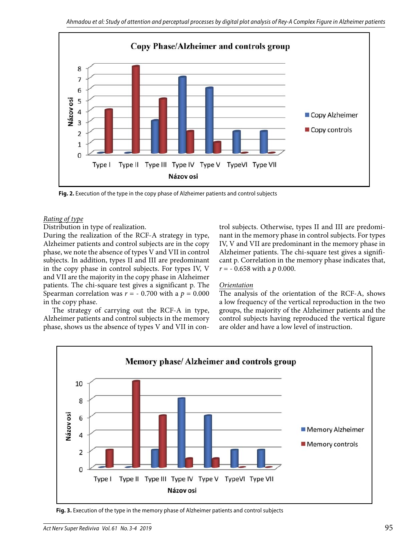

**Fig. 2.** Execution of the type in the copy phase of Alzheimer patients and control subjects

#### *Rating of type*

Distribution in type of realization.

During the realization of the RCF-A strategy in type, Alzheimer patients and control subjects are in the copy phase, we note the absence of types V and VII in control subjects. In addition, types II and III are predominant in the copy phase in control subjects. For types IV, V and VII are the majority in the copy phase in Alzheimer patients. The chi-square test gives a significant p. The Spearman correlation was  $r = -0.700$  with a  $p = 0.000$ in the copy phase.

The strategy of carrying out the RCF-A in type, Alzheimer patients and control subjects in the memory phase, shows us the absence of types V and VII in control subjects. Otherwise, types II and III are predominant in the memory phase in control subjects. For types IV, V and VII are predominant in the memory phase in Alzheimer patients. The chi-square test gives a significant p. Correlation in the memory phase indicates that, *r* = - 0.658 with a *p* 0.000.

## *Orientation*

The analysis of the orientation of the RCF-A, shows a low frequency of the vertical reproduction in the two groups, the majority of the Alzheimer patients and the control subjects having reproduced the vertical figure are older and have a low level of instruction.



**Fig. 3.** Execution of the type in the memory phase of Alzheimer patients and control subjects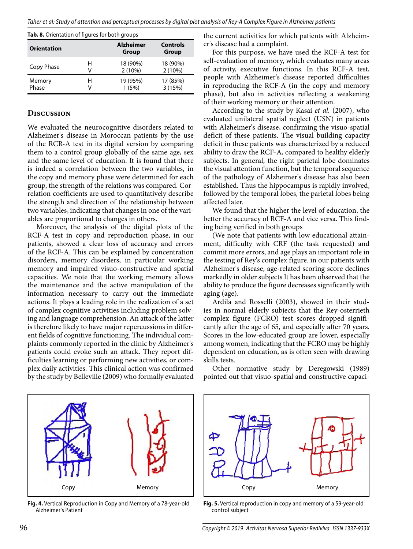| <b>Orientation</b> |   | <b>Alzheimer</b><br><b>Group</b> | <b>Controls</b><br>Group |  |
|--------------------|---|----------------------------------|--------------------------|--|
| Copy Phase         | н | 18 (90%)                         | 18 (90%)                 |  |
|                    | V | 2(10%)                           | 2(10%)                   |  |
| Memory             | н | 19 (95%)                         | 17 (85%)                 |  |
| Phase              | v | 1(5%)                            | 3(15%)                   |  |

#### **Discussion**

We evaluated the neurocognitive disorders related to Alzheimer's disease in Moroccan patients by the use of the RCR-A test in its digital version by comparing them to a control group globally of the same age, sex and the same level of education. It is found that there is indeed a correlation between the two variables, in the copy and memory phase were determined for each group, the strength of the relations was compared. Correlation coefficients are used to quantitatively describe the strength and direction of the relationship between two variables, indicating that changes in one of the variables are proportional to changes in others.

Moreover, the analysis of the digital plots of the RCF-A test in copy and reproduction phase, in our patients, showed a clear loss of accuracy and errors of the RCF-A. This can be explained by concentration disorders, memory disorders, in particular working memory and impaired visuo-constructive and spatial capacities. We note that the working memory allows the maintenance and the active manipulation of the information necessary to carry out the immediate actions. It plays a leading role in the realization of a set of complex cognitive activities including problem solving and language comprehension. An attack of the latter is therefore likely to have major repercussions in different fields of cognitive functioning. The individual complaints commonly reported in the clinic by Alzheimer's patients could evoke such an attack. They report difficulties learning or performing new activities, or complex daily activities. This clinical action was confirmed by the study by Belleville (2009) who formally evaluated the current activities for which patients with Alzheimer's disease had a complaint.

For this purpose, we have used the RCF-A test for self-evaluation of memory, which evaluates many areas of activity, executive functions. In this RCF-A test, people with Alzheimer's disease reported difficulties in reproducing the RCF-A (in the copy and memory phase), but also in activities reflecting a weakening of their working memory or their attention.

According to the study by Kasai *et al.* (2007), who evaluated unilateral spatial neglect (USN) in patients with Alzheimer's disease, confirming the visuo-spatial deficit of these patients. The visual building capacity deficit in these patients was characterized by a reduced ability to draw the RCF-A, compared to healthy elderly subjects. In general, the right parietal lobe dominates the visual attention function, but the temporal sequence of the pathology of Alzheimer's disease has also been established. Thus the hippocampus is rapidly involved, followed by the temporal lobes, the parietal lobes being affected later.

We found that the higher the level of education, the better the accuracy of RCF-A and vice versa. This finding being verified in both groups

(We note that patients with low educational attainment, difficulty with CRF (the task requested) and commit more errors, and age plays an important role in the testing of Rey's complex figure. in our patients with Alzheimer's disease, age-related scoring score declines markedly in older subjects It has been observed that the ability to produce the figure decreases significantly with aging (age).

Ardila and Rosselli (2003), showed in their studies in normal elderly subjects that the Rey-osterrieth complex figure (FCRO) test scores dropped significantly after the age of 65, and especially after 70 years. Scores in the low-educated group are lower, especially among women, indicating that the FCRO may be highly dependent on education, as is often seen with drawing skills tests.

Other normative study by Deregowski (1989) pointed out that visuo-spatial and constructive capaci-



**Fig. 4.** Vertical Reproduction in Copy and Memory of a 78-year-old Alzheimer's Patient



**Fig. 5.** Vertical reproduction in copy and memory of a 59-year-old control subject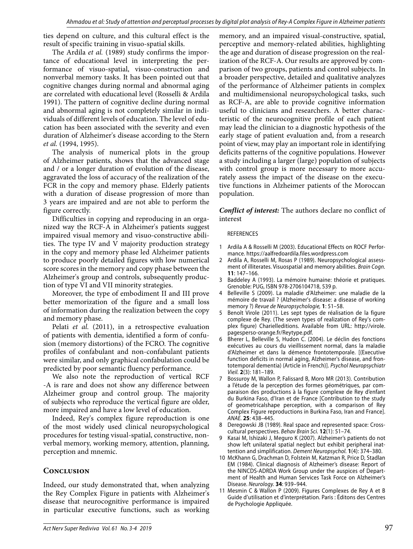ties depend on culture, and this cultural effect is the result of specific training in visuo-spatial skills.

The Ardila *et al.* (1989) study confirms the importance of educational level in interpreting the performance of visuo-spatial, visuo-construction and nonverbal memory tasks. It has been pointed out that cognitive changes during normal and abnormal aging are correlated with educational level (Rosselli & Ardila 1991). The pattern of cognitive decline during normal and abnormal aging is not completely similar in individuals of different levels of education. The level of education has been associated with the severity and even duration of Alzheimer's disease according to the Stern *et al.* (1994, 1995).

The analysis of numerical plots in the group of Alzheimer patients, shows that the advanced stage and / or a longer duration of evolution of the disease, aggravated the loss of accuracy of the realization of the FCR in the copy and memory phase. Elderly patients with a duration of disease progression of more than 3 years are impaired and are not able to perform the figure correctly.

Difficulties in copying and reproducing in an organized way the RCF-A in Alzheimer's patients suggest impaired visual memory and visuo-constructive abilities. The type IV and V majority production strategy in the copy and memory phase led Alzheimer patients to produce poorly detailed figures with low numerical score scores in the memory and copy phase between the Alzheimer's group and controls, subsequently production of type VI and VII minority strategies.

Moreover, the type of embodiment II and III prove better memorization of the figure and a small loss of information during the realization between the copy and memory phase.

Pelati *et al.* (2011), in a retrospective evaluation of patients with dementia, identified a form of confusion (memory distortions) of the FCRO. The cognitive profiles of confabulant and non-confabulant patients were similar, and only graphical confabulation could be predicted by poor semantic fluency performance.

We also note the reproduction of vertical RCF -A is rare and does not show any difference between Alzheimer group and control group. The majority of subjects who reproduce the vertical figure are older, more impaired and have a low level of education.

Indeed, Rey's complex figure reproduction is one of the most widely used clinical neuropsychological procedures for testing visual-spatial, constructive, nonverbal memory, working memory, attention, planning, perception and mnemic.

# **Conclusion**

Indeed, our study demonstrated that, when analyzing the Rey Complex Figure in patients with Alzheimer's disease that neurocognitive performance is impaired in particular executive functions, such as working

memory, and an impaired visual-constructive, spatial, perceptive and memory-related abilities, highlighting the age and duration of disease progression on the realization of the RCF-A. Our results are approved by comparison of two groups, patients and control subjects. In a broader perspective, detailed and qualitative analyzes of the performance of Alzheimer patients in complex and multidimensional neuropsychological tasks, such as RCF-A, are able to provide cognitive information useful to clinicians and researchers. A better characteristic of the neurocognitive profile of each patient may lead the clinician to a diagnostic hypothesis of the early stage of patient evaluation and, from a research point of view, may play an important role in identifying deficits patterns of the cognitive populations. However a study including a larger (large) population of subjects with control group is more necessary to more accurately assess the impact of the disease on the executive functions in Alzheimer patients of the Moroccan population.

*Conflict of interest:* The authors declare no conflict of interest

#### **REFERENCES**

- 1 Ardila A & Rosselli M (2003). Educational Effects on ROCF Performance. https://aalfredoardila.files.wordpress.com
- 2 Ardila A, Rosselli M, Rosas P (1989). Neuropsychological assessment of illiterates. Visuospatial and memory abilities. Brain Cogn. **11**: 147–166.
- 3 Baddeley A (1993). La mémoire humaine: théorie et pratiques. Grenoble: PUG, ISBN 978-2706104718, 539 p.
- 4 Belleville S (2009). La maladie d'Alzheimer: une maladie de la mémoire de travail ? (Alzheimer's disease: a disease of working memory ?) Revue de Neuropsychologie, **1**: 51–58.
- 5 Benoît Virole (2011). Les sept types de réalisation de la figure complexe de Rey. (The seven types of realization of Rey's complex figure) Charielleditions. Available from URL: http://virole. pagesperso-orange.fr/Reytype.pdf.
- 6 Bherer L, Belleville S, Hudon C. (2004). Le déclin des fonctions exécutives au cours du vieillissement normal, dans la maladie d'Alzheimer et dans la démence frontotemporale. [(Executive function deficits in normal aging, Alzheimer's disease, and frontotemporal dementia) (Article in French)]. Psychol Neuropsychiatr Vieil. **2**(3): 181–189.
- 7 Bossuroy M, Wallon P, Falissard B, Moro MR (2013). Contribution a l'étude de la perception des formes géométriques, par comparaison des productions à la figure complexe de Rey d'enfant du Burkina Faso, d'Iran et de France [Contribution to the study of geometricalshape perception, with a comparison of Rey Complex Figure reproductions in Burkina Faso, Iran and France]. ANAE. **25**: 438–445.
- 8 Deregowski JB (1989). Real space and represented space: Crosscultural perspectives. Behav Brain Sci. **12**(1): 51–74.
- 9 Kasai M, Ishizaki J, Meguro K (2007). Alzheimer's patients do not show left unilateral spatial neglect but exhibit peripheral inattention and simplification. Dement Neuropsychol. **1**(4): 374–380.
- 10 McKhann G, Drachman D, Folstein M, Katzman R, Price D, Stadlan EM (1984). Clinical diagnosis of Alzheimer's disease: Report of the NINCDS-ADRDA Work Group under the auspices of Department of Health and Human Services Task Force on Alzheimer's Disease. Neurology. **34**: 939–944.
- 11 Mesmin C & Wallon P (2009). Figures Complexes de Rey A et B Guide d'utilisation et d'interprétation. Paris : Éditons des Centres de Psychologie Appliquée.